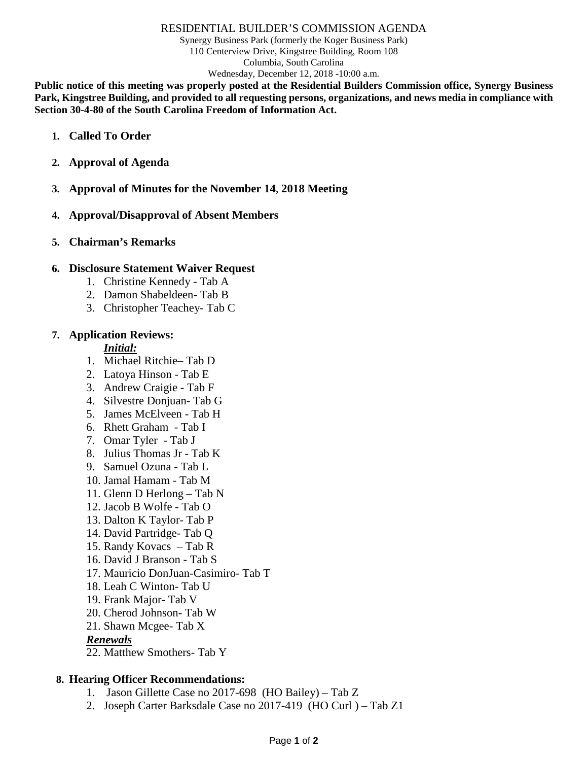#### RESIDENTIAL BUILDER'S COMMISSION AGENDA

Synergy Business Park (formerly the Koger Business Park) 110 Centerview Drive, Kingstree Building, Room 108 Columbia, South Carolina Wednesday, December 12, 2018 -10:00 a.m.

**Public notice of this meeting was properly posted at the Residential Builders Commission office, Synergy Business Park, Kingstree Building, and provided to all requesting persons, organizations, and news media in compliance with Section 30-4-80 of the South Carolina Freedom of Information Act.**

- **1. Called To Order**
- **2. Approval of Agenda**
- **3. Approval of Minutes for the November 14**, **2018 Meeting**
- **4. Approval/Disapproval of Absent Members**
- **5. Chairman's Remarks**

## **6. Disclosure Statement Waiver Request**

- 1. Christine Kennedy Tab A
- 2. Damon Shabeldeen- Tab B
- 3. Christopher Teachey- Tab C

## **7. Application Reviews:**

## *Initial:*

- 1. Michael Ritchie– Tab D
- 2. Latoya Hinson Tab E
- 3. Andrew Craigie Tab F
- 4. Silvestre Donjuan- Tab G
- 5. James McElveen Tab H
- 6. Rhett Graham Tab I
- 7. Omar Tyler Tab J
- 8. Julius Thomas Jr Tab K
- 9. Samuel Ozuna Tab L
- 10. Jamal Hamam Tab M
- 11. Glenn D Herlong Tab N
- 12. Jacob B Wolfe Tab O
- 13. Dalton K Taylor- Tab P
- 14. David Partridge- Tab Q
- 15. Randy Kovacs Tab R
- 16. David J Branson Tab S
- 17. Mauricio DonJuan-Casimiro- Tab T
- 18. Leah C Winton- Tab U
- 19. Frank Major- Tab V
- 20. Cherod Johnson- Tab W
- 21. Shawn Mcgee- Tab X

# *Renewals*

22. Matthew Smothers- Tab Y

# **8. Hearing Officer Recommendations:**

- 1. Jason Gillette Case no 2017-698 (HO Bailey) Tab Z
- 2. Joseph Carter Barksdale Case no 2017-419 (HO Curl ) Tab Z1